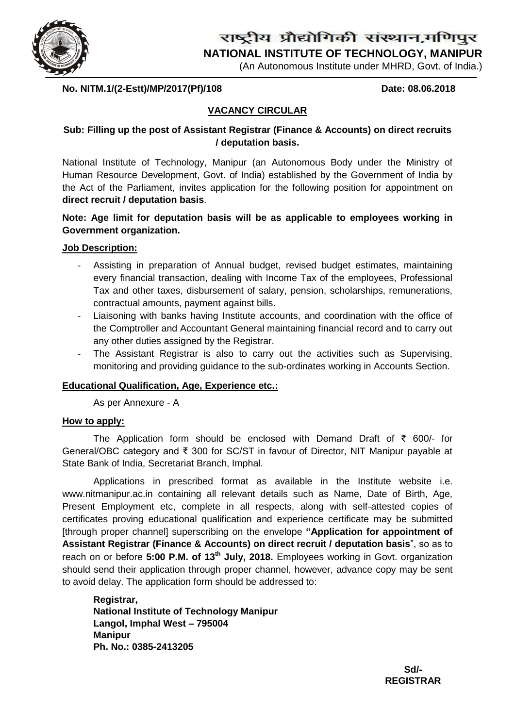

# राष्ट्रीय प्रौद्योगिकी संस्थान,मणिपुर

**NATIONAL INSTITUTE OF TECHNOLOGY, MANIPUR**

(An Autonomous Institute under MHRD, Govt. of India.)

**No. NITM.1/(2-Estt)/MP/2017(Pf)/108 Date: 08.06.2018**

# **VACANCY CIRCULAR**

# **Sub: Filling up the post of Assistant Registrar (Finance & Accounts) on direct recruits / deputation basis.**

National Institute of Technology, Manipur (an Autonomous Body under the Ministry of Human Resource Development, Govt. of India) established by the Government of India by the Act of the Parliament, invites application for the following position for appointment on **direct recruit / deputation basis**.

**Note: Age limit for deputation basis will be as applicable to employees working in Government organization.**

### **Job Description:**

- Assisting in preparation of Annual budget, revised budget estimates, maintaining every financial transaction, dealing with Income Tax of the employees, Professional Tax and other taxes, disbursement of salary, pension, scholarships, remunerations, contractual amounts, payment against bills.
- Liaisoning with banks having Institute accounts, and coordination with the office of the Comptroller and Accountant General maintaining financial record and to carry out any other duties assigned by the Registrar.
- The Assistant Registrar is also to carry out the activities such as Supervising, monitoring and providing guidance to the sub-ordinates working in Accounts Section.

## **Educational Qualification, Age, Experience etc.:**

As per Annexure - A

#### **How to apply:**

The Application form should be enclosed with Demand Draft of ₹ 600/- for General/OBC category and ₹ 300 for SC/ST in favour of Director, NIT Manipur payable at State Bank of India, Secretariat Branch, Imphal.

Applications in prescribed format as available in the Institute website i.e. [www.nitmanipur.ac.in](http://www.nitmanipur.ac.in/) containing all relevant details such as Name, Date of Birth, Age, Present Employment etc, complete in all respects, along with self-attested copies of certificates proving educational qualification and experience certificate may be submitted [through proper channel] superscribing on the envelope **"Application for appointment of Assistant Registrar (Finance & Accounts) on direct recruit / deputation basis**", so as to reach on or before **5:00 P.M. of 13th July, 2018.** Employees working in Govt. organization should send their application through proper channel, however, advance copy may be sent to avoid delay. The application form should be addressed to:

**Registrar, National Institute of Technology Manipur Langol, Imphal West – 795004 Manipur Ph. No.: 0385-2413205**